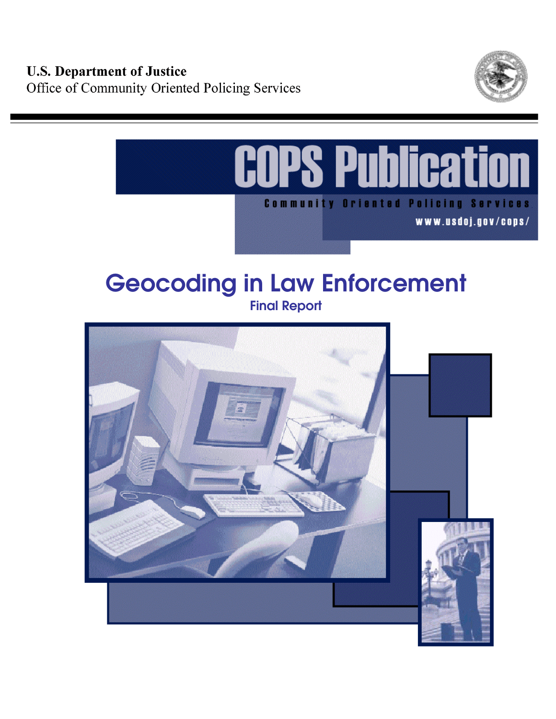



# **Geocoding in Law Enforcement**

**Final Report** 

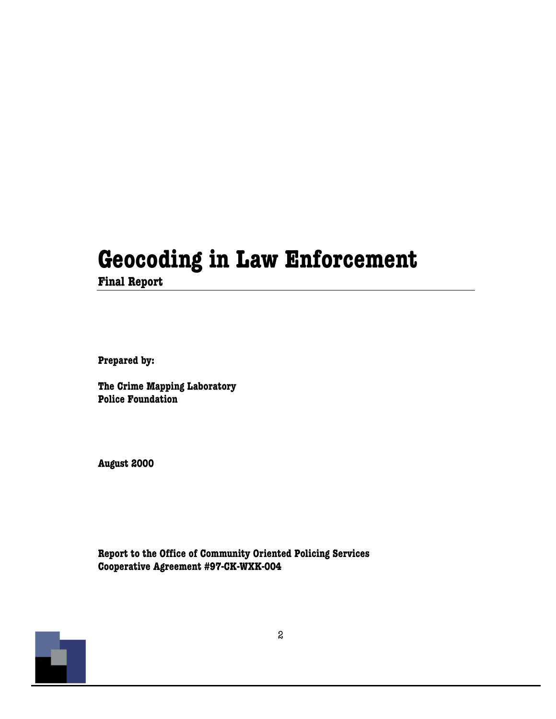## **Geocoding in Law Enforcement**

**Final Report** 

**Prepared by:** 

**The Crime Mapping Laboratory Police Foundation** 

**August 2000** 

**Report to the Office of Community Oriented Policing Services Cooperative Agreement #97-CK-WXK-004** 

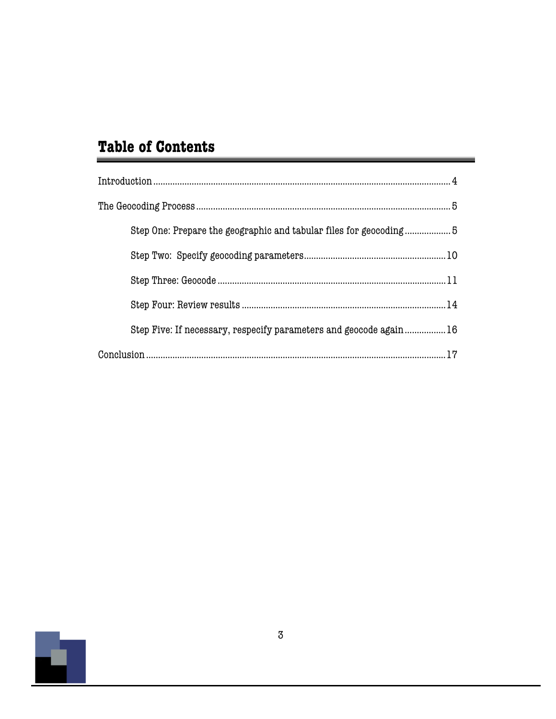### **Table of Contents**

| $\label{prop:1} \mbox{Introduction} \,\, \ldots \,\, \ldots \,\, \ldots \,\, \ldots \,\, \ldots \,\, \ldots \,\, \ldots \,\, \ldots \,\, \ldots \,\, \ldots \,\, \ldots \,\, \ldots \,\, \ldots \,\, \ldots \,\, \ldots \,\, \ldots \,\, \ldots \,\, \ldots \,\, \ldots \,\, \ldots \,\, \ldots \,\, \ldots \,\, \ldots \,\, \ldots \,\, \ldots \,\, \ldots \,\, \ldots \,\, \ldots \,\, \ldots \,\, \ldots \,\, \ldots \,\, \ldots \,\, \ldots \,\, \ldots \,\,$ |
|-------------------------------------------------------------------------------------------------------------------------------------------------------------------------------------------------------------------------------------------------------------------------------------------------------------------------------------------------------------------------------------------------------------------------------------------------------------------|
|                                                                                                                                                                                                                                                                                                                                                                                                                                                                   |
| Step One: Prepare the geographic and tabular files for geocoding5                                                                                                                                                                                                                                                                                                                                                                                                 |
|                                                                                                                                                                                                                                                                                                                                                                                                                                                                   |
|                                                                                                                                                                                                                                                                                                                                                                                                                                                                   |
|                                                                                                                                                                                                                                                                                                                                                                                                                                                                   |
| Step Five: If necessary, respecify parameters and geocode again16                                                                                                                                                                                                                                                                                                                                                                                                 |
|                                                                                                                                                                                                                                                                                                                                                                                                                                                                   |

\_

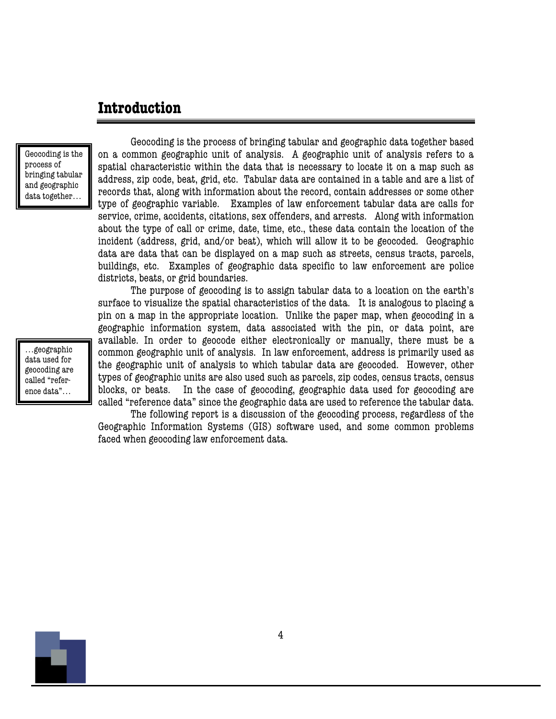#### **Introduction**

Geocoding is the process of bringing tabular and geographic data together…

Geocoding is the process of bringing tabular and geographic data together based on a common geographic unit of analysis. A geographic unit of analysis refers to a spatial characteristic within the data that is necessary to locate it on a map such as address, zip code, beat, grid, etc. Tabular data are contained in a table and are a list of records that, along with information about the record, contain addresses or some other type of geographic variable. Examples of law enforcement tabular data are calls for service, crime, accidents, citations, sex offenders, and arrests. Along with information about the type of call or crime, date, time, etc., these data contain the location of the incident (address, grid, and/or beat), which will allow it to be geocoded. Geographic data are data that can be displayed on a map such as streets, census tracts, parcels, buildings, etc. Examples of geographic data specific to law enforcement are police districts, beats, or grid boundaries.

The purpose of geocoding is to assign tabular data to a location on the earth's surface to visualize the spatial characteristics of the data. It is analogous to placing a pin on a map in the appropriate location. Unlike the paper map, when geocoding in a geographic information system, data associated with the pin, or data point, are available. In order to geocode either electronically or manually, there must be a common geographic unit of analysis. In law enforcement, address is primarily used as the geographic unit of analysis to which tabular data are geocoded. However, other types of geographic units are also used such as parcels, zip codes, census tracts, census blocks, or beats. In the case of geocoding, geographic data used for geocoding are called "reference data" since the geographic data are used to reference the tabular data.

The following report is a discussion of the geocoding process, regardless of the Geographic Information Systems (GIS) software used, and some common problems faced when geocoding law enforcement data.

…geographic data used for geocoding are called "reference data"…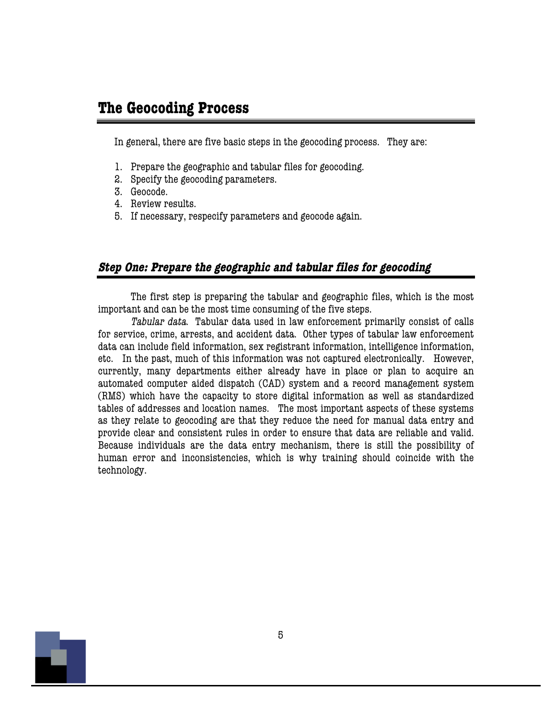#### **The Geocoding Process**

In general, there are five basic steps in the geocoding process. They are:

- 1. Prepare the geographic and tabular files for geocoding.
- 2. Specify the geocoding parameters.
- 3. Geocode.
- 4. Review results.
- 5. If necessary, respecify parameters and geocode again.

#### **Step One: Prepare the geographic and tabular files for geocoding**

The first step is preparing the tabular and geographic files, which is the most important and can be the most time consuming of the five steps.

Tabular data. Tabular data used in law enforcement primarily consist of calls for service, crime, arrests, and accident data. Other types of tabular law enforcement data can include field information, sex registrant information, intelligence information, etc. In the past, much of this information was not captured electronically. However, currently, many departments either already have in place or plan to acquire an automated computer aided dispatch (CAD) system and a record management system (RMS) which have the capacity to store digital information as well as standardized tables of addresses and location names. The most important aspects of these systems as they relate to geocoding are that they reduce the need for manual data entry and provide clear and consistent rules in order to ensure that data are reliable and valid. Because individuals are the data entry mechanism, there is still the possibility of human error and inconsistencies, which is why training should coincide with the technology.

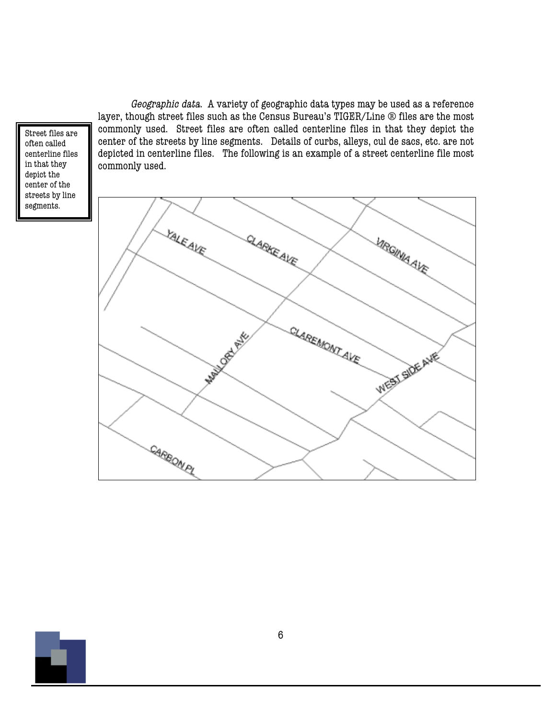Street files are often called centerline files in that they depict the center of the streets by line segments.

Geographic data. A variety of geographic data types may be used as a reference layer, though street files such as the Census Bureau's TIGER/Line ® files are the most commonly used. Street files are often called centerline files in that they depict the center of the streets by line segments. Details of curbs, alleys, cul de sacs, etc. are not depicted in centerline files. The following is an example of a street centerline file most commonly used.



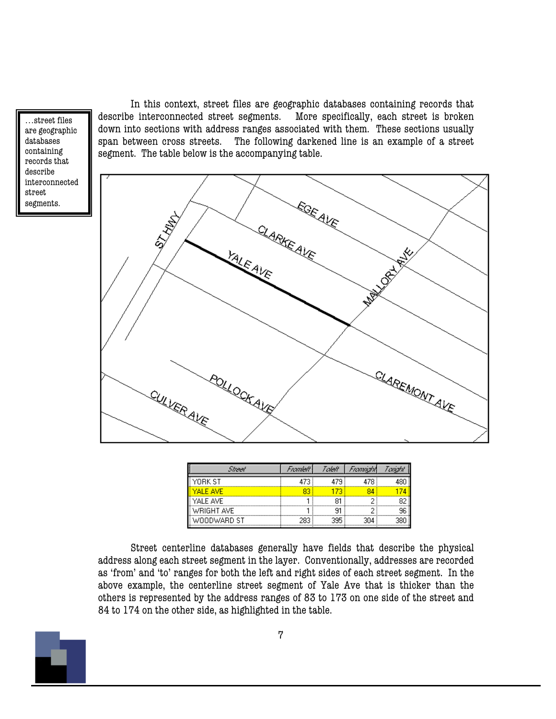…street files are geographic databases containing records that describe interconnected street segments.

In this context, street files are geographic databases containing records that describe interconnected street segments. More specifically, each street is broken down into sections with address ranges associated with them. These sections usually span between cross streets. The following darkened line is an example of a street segment. The table below is the accompanying table.



| Shaaf       | Framleht | Taleff | Frannach | Tariah |
|-------------|----------|--------|----------|--------|
| YORK ST     |          | 479    | 479      |        |
| YAI F AVF   |          |        |          |        |
| YALE AVE    |          |        |          |        |
| WRIGHT AVE  |          |        |          |        |
| WOODWARD ST | 283.     | 295    | 304      |        |

Street centerline databases generally have fields that describe the physical address along each street segment in the layer. Conventionally, addresses are recorded as 'from' and 'to' ranges for both the left and right sides of each street segment. In the above example, the centerline street segment of Yale Ave that is thicker than the others is represented by the address ranges of 83 to 173 on one side of the street and 84 to 174 on the other side, as highlighted in the table.

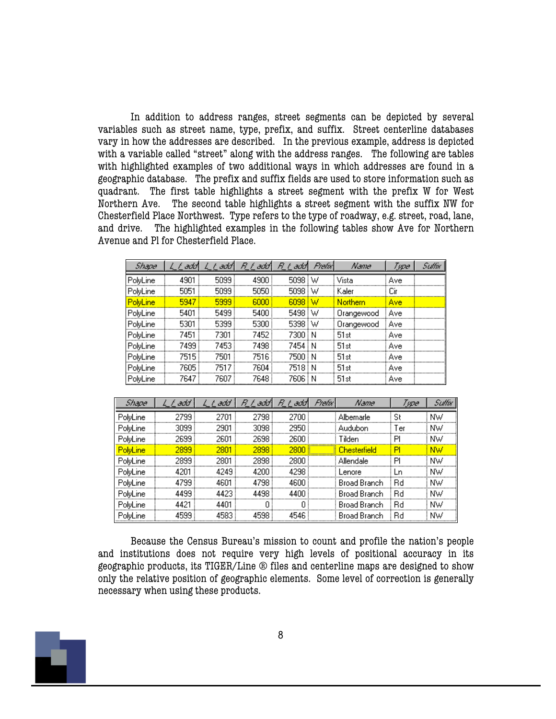In addition to address ranges, street segments can be depicted by several variables such as street name, type, prefix, and suffix. Street centerline databases vary in how the addresses are described. In the previous example, address is depicted with a variable called "street" along with the address ranges. The following are tables with highlighted examples of two additional ways in which addresses are found in a geographic database. The prefix and suffix fields are used to store information such as quadrant. The first table highlights a street segment with the prefix W for West Northern Ave. The second table highlights a street segment with the suffix NW for Chesterfield Place Northwest. Type refers to the type of roadway, e.g. street, road, lane, and drive. The highlighted examples in the following tables show Ave for Northern Avenue and Pl for Chesterfield Place.

| Shape    | L F add | L L add | R_L`add¶ | R L<br>अर्जी | <b>Prefix</b> | Name       | Туре   | Suffix |
|----------|---------|---------|----------|--------------|---------------|------------|--------|--------|
| PolyLine | 4901    | 5099    | 4900     | $5098$ i W   |               | Vista      | Ave    |        |
| PolyLine | 5051    | 5099    | 5050     | 5098 i W     |               | Kaler      | Cir    |        |
| PolyLine | 5947    | 5999    | 6000     | $6098$ i W   |               | Northern   | Ave    |        |
| PolyLine | 5401    | 5499    | 5400     | 5498 W       |               | Orangewood | i Ave  |        |
| PolyLine | 5301    | 5399    | 5300     | 5398 W       |               | Orangewood | i Avel |        |
| PolyLine | 7451    | 7301    | 7452 i   | 7300 i N     |               | 51st       | Ave    |        |
| PolyLine | 7499.   | 7453.   | 7498     | 7454 i N     |               | 51st       | Ave    |        |
| PolyLine | 7515    | 7501    | 7516     | 7500 i N     |               | 51st       | Ave    |        |
| PolyLine | 7605    | 7517    | 7604     | 7518 i N     |               | 51st       | Ave    |        |
| PolyLine | 7647    | 7607    | 7648     | 7606         | i N           | 51st       | Ave    |        |

| <b>Shape</b>    | L L add | ತರರ<br>f. | R F<br>add l | B.<br>f<br>add l | Prefix I | Name                | Туре    | Suffix |
|-----------------|---------|-----------|--------------|------------------|----------|---------------------|---------|--------|
| PolyLine        | 2799    | 2701      | 2798         | 2700             |          | Albemarle           | St      | ΝW     |
| PolyLine        | 3099.   | 2901      | 3098         | 2950.            |          | Audubon             | Ter     | NW.    |
| PolyLine        | 2699.   | 2601      | 2698         | 2600.            |          | Tilden              | РI      | NW.    |
| <b>PolyLine</b> | 2899 i  | 2801      | 2898         | 2800 \$          | ×        | <b>Chesterfield</b> | PI      | NW     |
| PolyLine        | 2899 i  | 2801      | 2898         | 2800 i           |          | Allendale           | РI      | NW.    |
| PolyLine        | 4201    | 4249      | 4200         | 4298             |          | Lenore              | Ln      | NW.    |
| PolyLine        | 4799.   | 4601      | 4798         | 4600             |          | Broad Branch        | Вd      | NW.    |
| PolyLine        | 4499.   | 4423.     | 4498         | 4400             |          | Broad Branch        | .<br>Rd | NW.    |
| PolyLine        | 4421    | 4401      | n            | n                |          | Broad Branch        | Вd      | NW.    |
| PolyLine        | 4599    | 4583      | 4598         | 4546             |          | Broad Branch        | Вd      | NW.    |

Because the Census Bureau's mission to count and profile the nation's people and institutions does not require very high levels of positional accuracy in its geographic products, its TIGER/Line ® files and centerline maps are designed to show only the relative position of geographic elements. Some level of correction is generally necessary when using these products.

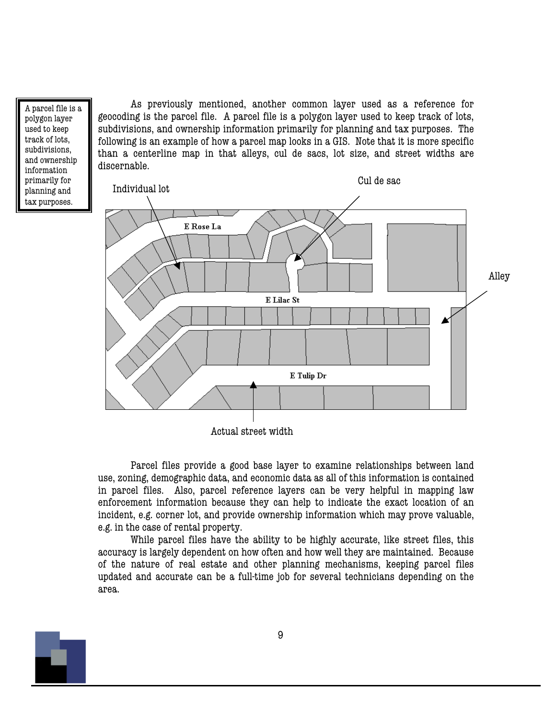A parcel file is a polygon layer used to keep track of lots, subdivisions, and ownership information primarily for planning and tax purposes.

As previously mentioned, another common layer used as a reference for geocoding is the parcel file. A parcel file is a polygon layer used to keep track of lots, subdivisions, and ownership information primarily for planning and tax purposes. The following is an example of how a parcel map looks in a GIS. Note that it is more specific than a centerline map in that alleys, cul de sacs, lot size, and street widths are discernable.



Actual street width

Parcel files provide a good base layer to examine relationships between land use, zoning, demographic data, and economic data as all of this information is contained in parcel files. Also, parcel reference layers can be very helpful in mapping law enforcement information because they can help to indicate the exact location of an incident, e.g. corner lot, and provide ownership information which may prove valuable, e.g. in the case of rental property.

While parcel files have the ability to be highly accurate, like street files, this accuracy is largely dependent on how often and how well they are maintained. Because of the nature of real estate and other planning mechanisms, keeping parcel files updated and accurate can be a full-time job for several technicians depending on the area.

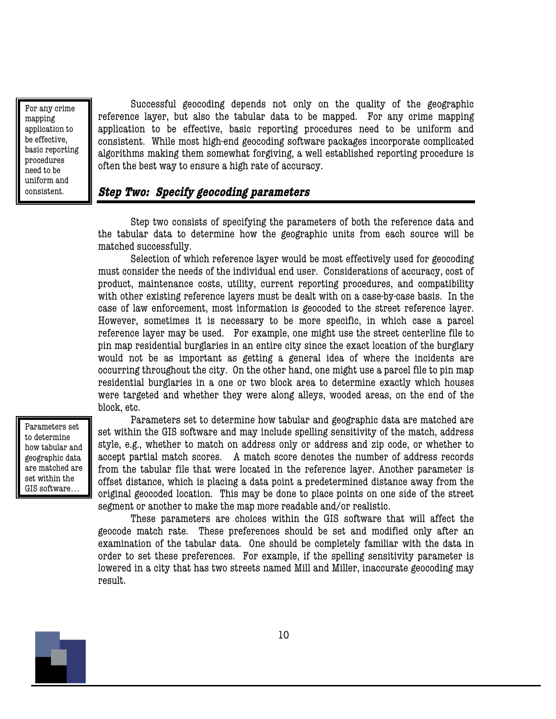For any crime mapping application to be effective, basic reporting procedures need to be uniform and consistent.

Successful geocoding depends not only on the quality of the geographic reference layer, but also the tabular data to be mapped. For any crime mapping application to be effective, basic reporting procedures need to be uniform and consistent. While most high-end geocoding software packages incorporate complicated algorithms making them somewhat forgiving, a well established reporting procedure is often the best way to ensure a high rate of accuracy.

#### **Step Two: Specify geocoding parameters**

Step two consists of specifying the parameters of both the reference data and the tabular data to determine how the geographic units from each source will be matched successfully.

Selection of which reference layer would be most effectively used for geocoding must consider the needs of the individual end user. Considerations of accuracy, cost of product, maintenance costs, utility, current reporting procedures, and compatibility with other existing reference layers must be dealt with on a case-by-case basis. In the case of law enforcement, most information is geocoded to the street reference layer. However, sometimes it is necessary to be more specific, in which case a parcel reference layer may be used. For example, one might use the street centerline file to pin map residential burglaries in an entire city since the exact location of the burglary would not be as important as getting a general idea of where the incidents are occurring throughout the city. On the other hand, one might use a parcel file to pin map residential burglaries in a one or two block area to determine exactly which houses were targeted and whether they were along alleys, wooded areas, on the end of the block, etc.

Parameters set to determine how tabular and geographic data are matched are set within the GIS software…

Parameters set to determine how tabular and geographic data are matched are set within the GIS software and may include spelling sensitivity of the match, address style, e.g., whether to match on address only or address and zip code, or whether to accept partial match scores. A match score denotes the number of address records from the tabular file that were located in the reference layer. Another parameter is offset distance, which is placing a data point a predetermined distance away from the original geocoded location. This may be done to place points on one side of the street segment or another to make the map more readable and/or realistic.

These parameters are choices within the GIS software that will affect the geocode match rate. These preferences should be set and modified only after an examination of the tabular data. One should be completely familiar with the data in order to set these preferences. For example, if the spelling sensitivity parameter is lowered in a city that has two streets named Mill and Miller, inaccurate geocoding may result.

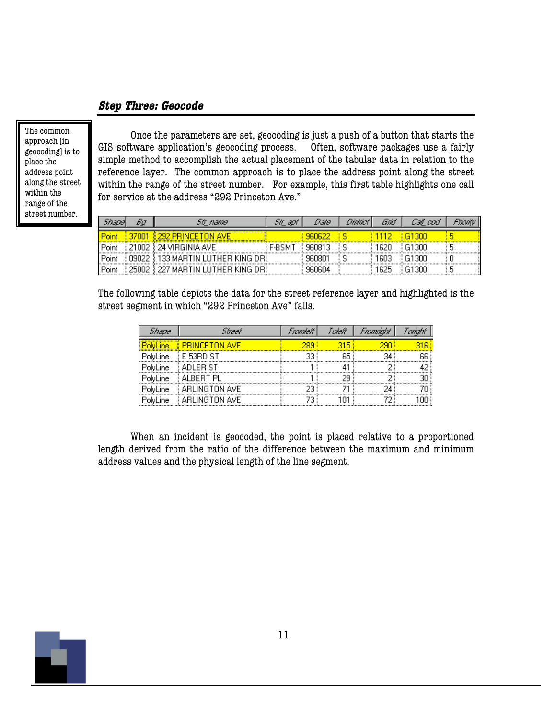#### **Step Three: Geocode**

The common approach [in geocoding] is to place the address point along the street within the range of the street number.

Once the parameters are set, geocoding is just a push of a button that starts the GIS software application's geocoding process. Often, software packages use a fairly simple method to accomplish the actual placement of the tabular data in relation to the reference layer. The common approach is to place the address point along the street within the range of the street number. For example, this first table highlights one call for service at the address "292 Princeton Ave."

|       |       | 51r name.                    | 51r apr  | Date   | District | Grid  | Call cod |  |
|-------|-------|------------------------------|----------|--------|----------|-------|----------|--|
| Point |       | 292 PRINCETON AVE            |          | 960622 |          | 112   | -61300   |  |
| Point | 21002 | ∄ 24 VIRGINIA AVE            | . F-BSMT | 960813 | S        | 1620  | 61300    |  |
| Point |       | ≸ 133 MARTIN LUTHER KING DRI |          | 960801 |          | I 603 | -61300   |  |
| Point | 25002 | ∄ 227 MARTIN LUTHER KING DRI |          | 960604 |          | 1625  | G1300    |  |

The following table depicts the data for the street reference layer and highlighted is the street segment in which "292 Princeton Ave" falls.

| Shape    | Street                 | Frankelt | Taleff | Frammath | ww |
|----------|------------------------|----------|--------|----------|----|
| oluLine. | <b>E PRINCETON AVE</b> |          |        |          |    |
| PolyLine | E 53RD ST              | 33       | 65     | 34.      |    |
| PolyLine | ADLER ST               |          |        |          |    |
| PolyLine | ALBERT PL              |          |        |          |    |
| PolyLine | ARLINGTON AVE          |          |        |          |    |
| PoluLine | ARLINGTON AVE          |          |        |          |    |

When an incident is geocoded, the point is placed relative to a proportioned length derived from the ratio of the difference between the maximum and minimum address values and the physical length of the line segment.

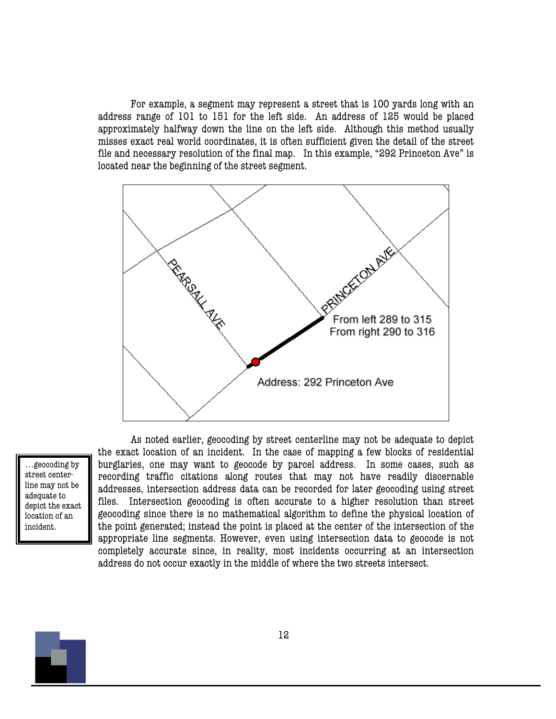For example, a segment may represent a street that is 100 yards long with an address range of 101 to 151 for the left side. An address of 125 would be placed approximately halfway down the line on the left side. Although this method usually misses exact real world coordinates, it is often sufficient given the detail of the street file and necessary resolution of the final map. In this example, "292 Princeton Ave" is located near the beginning of the street segment.



…geocoding by street centerline may not be adequate to depict the exact location of an incident.

As noted earlier, geocoding by street centerline may not be adequate to depict the exact location of an incident. In the case of mapping a few blocks of residential burglaries, one may want to geocode by parcel address. In some cases, such as recording traffic citations along routes that may not have readily discernable addresses, intersection address data can be recorded for later geocoding using street files. Intersection geocoding is often accurate to a higher resolution than street geocoding since there is no mathematical algorithm to define the physical location of the point generated; instead the point is placed at the center of the intersection of the appropriate line segments. However, even using intersection data to geocode is not completely accurate since, in reality, most incidents occurring at an intersection address do not occur exactly in the middle of where the two streets intersect.

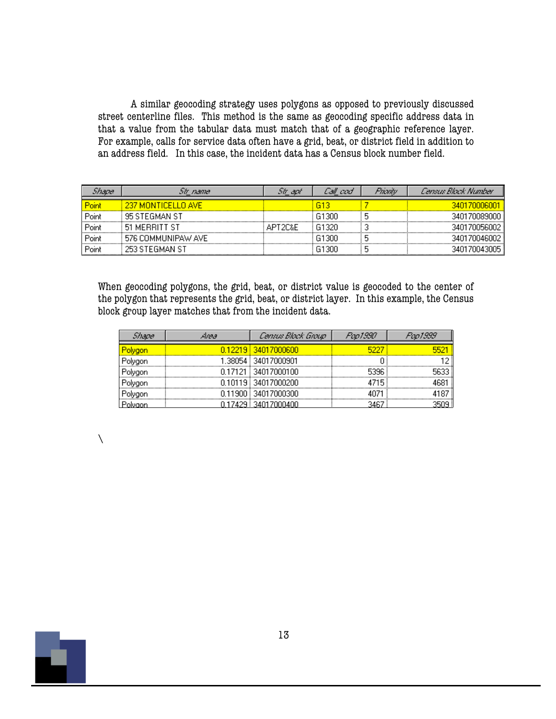A similar geocoding strategy uses polygons as opposed to previously discussed street centerline files. This method is the same as geocoding specific address data in that a value from the tabular data must match that of a geographic reference layer. For example, calls for service data often have a grid, beat, or district field in addition to an address field. In this case, the incident data has a Census block number field.

| <i>inane</i> | Sir_name           | 51r apr | Call cod | Franty | Census Block Number |
|--------------|--------------------|---------|----------|--------|---------------------|
| Point        | 237 MONTICELLO AVE |         | 613      |        | 340170006001        |
| Point        | 95 STEGMAN ST      |         | G1300    |        | 340170089000 i      |
| Point        | 51 MERRITT ST      | APT2C&E | G1320    |        | 340170056002        |
| Point        | 576 COMMUNIPAW AVE |         | G1300    |        | 340170046002        |
| Point        | 253 STEGMAN ST     |         | G1300    |        |                     |

When geocoding polygons, the grid, beat, or district value is geocoded to the center of the polygon that represents the grid, beat, or district layer. In this example, the Census block group layer matches that from the incident data.

| Shane   | дляа | Census Block Group    | Pap1990 | Fua1999 |
|---------|------|-----------------------|---------|---------|
| Polygon |      | 0.12219 34017000600   |         |         |
| Polygon |      | 1.38054   34017000901 |         |         |
| Polygon |      | 0.17121 34017000100   | 5396.   |         |
| Polygon |      | 0.10119 34017000200   | 4715    |         |
| Polygon |      | 0.11900   34017000300 |         |         |
|         |      | 17429   34017000400   |         |         |

 $\lambda$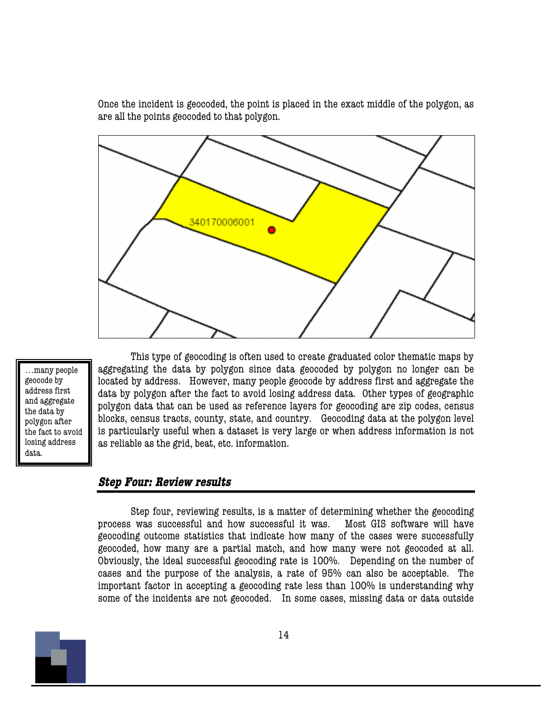Once the incident is geocoded, the point is placed in the exact middle of the polygon, as are all the points geocoded to that polygon.



…many people geocode by address first and aggregate the data by polygon after the fact to avoid losing address data.

This type of geocoding is often used to create graduated color thematic maps by aggregating the data by polygon since data geocoded by polygon no longer can be located by address. However, many people geocode by address first and aggregate the data by polygon after the fact to avoid losing address data. Other types of geographic polygon data that can be used as reference layers for geocoding are zip codes, census blocks, census tracts, county, state, and country. Geocoding data at the polygon level is particularly useful when a dataset is very large or when address information is not as reliable as the grid, beat, etc. information.

#### **Step Four: Review results**

Step four, reviewing results, is a matter of determining whether the geocoding process was successful and how successful it was. Most GIS software will have geocoding outcome statistics that indicate how many of the cases were successfully geocoded, how many are a partial match, and how many were not geocoded at all. Obviously, the ideal successful geocoding rate is 100%. Depending on the number of cases and the purpose of the analysis, a rate of 95% can also be acceptable. The important factor in accepting a geocoding rate less than 100% is understanding why some of the incidents are not geocoded. In some cases, missing data or data outside

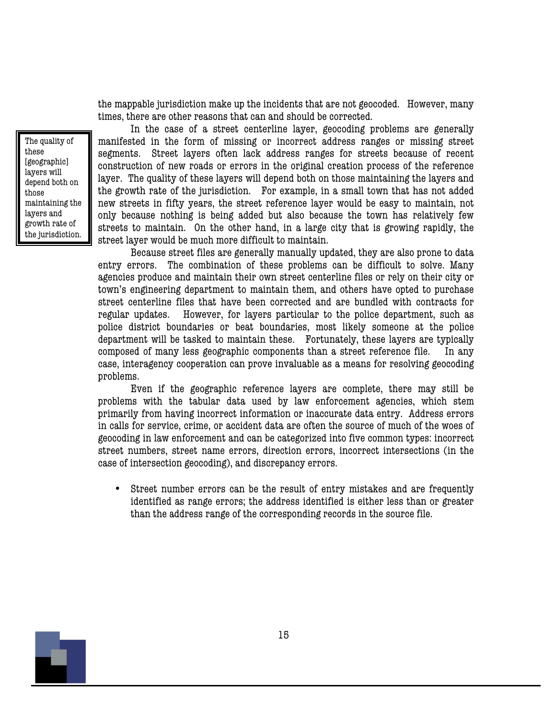the mappable jurisdiction make up the incidents that are not geocoded. However, many times, there are other reasons that can and should be corrected.

The quality of these [geographic] layers will depend both on those maintaining the layers and growth rate of the jurisdiction.

In the case of a street centerline layer, geocoding problems are generally manifested in the form of missing or incorrect address ranges or missing street segments. Street layers often lack address ranges for streets because of recent construction of new roads or errors in the original creation process of the reference layer. The quality of these layers will depend both on those maintaining the layers and the growth rate of the jurisdiction. For example, in a small town that has not added new streets in fifty years, the street reference layer would be easy to maintain, not only because nothing is being added but also because the town has relatively few streets to maintain. On the other hand, in a large city that is growing rapidly, the street layer would be much more difficult to maintain.

Because street files are generally manually updated, they are also prone to data entry errors. The combination of these problems can be difficult to solve. Many agencies produce and maintain their own street centerline files or rely on their city or town's engineering department to maintain them, and others have opted to purchase street centerline files that have been corrected and are bundled with contracts for regular updates. However, for layers particular to the police department, such as police district boundaries or beat boundaries, most likely someone at the police department will be tasked to maintain these. Fortunately, these layers are typically composed of many less geographic components than a street reference file. In any case, interagency cooperation can prove invaluable as a means for resolving geocoding problems.

Even if the geographic reference layers are complete, there may still be problems with the tabular data used by law enforcement agencies, which stem primarily from having incorrect information or inaccurate data entry. Address errors in calls for service, crime, or accident data are often the source of much of the woes of geocoding in law enforcement and can be categorized into five common types: incorrect street numbers, street name errors, direction errors, incorrect intersections (in the case of intersection geocoding), and discrepancy errors.

• Street number errors can be the result of entry mistakes and are frequently identified as range errors; the address identified is either less than or greater than the address range of the corresponding records in the source file.

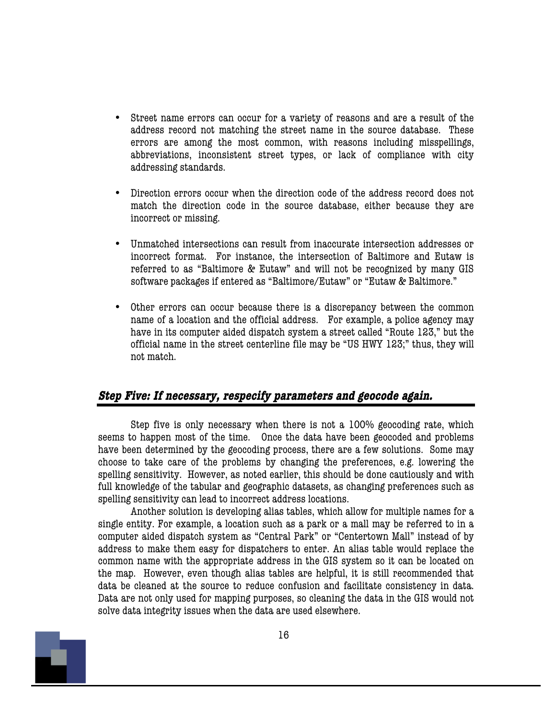- Street name errors can occur for a variety of reasons and are a result of the address record not matching the street name in the source database. These errors are among the most common, with reasons including misspellings, abbreviations, inconsistent street types, or lack of compliance with city addressing standards.
- Direction errors occur when the direction code of the address record does not match the direction code in the source database, either because they are incorrect or missing.
- Unmatched intersections can result from inaccurate intersection addresses or incorrect format. For instance, the intersection of Baltimore and Eutaw is referred to as "Baltimore & Eutaw" and will not be recognized by many GIS software packages if entered as "Baltimore/Eutaw" or "Eutaw & Baltimore."
- Other errors can occur because there is a discrepancy between the common name of a location and the official address. For example, a police agency may have in its computer aided dispatch system a street called "Route 123," but the official name in the street centerline file may be "US HWY 123;" thus, they will not match.

#### **Step Five: If necessary, respecify parameters and geocode again.**

Step five is only necessary when there is not a 100% geocoding rate, which seems to happen most of the time. Once the data have been geocoded and problems have been determined by the geocoding process, there are a few solutions. Some may choose to take care of the problems by changing the preferences, e.g. lowering the spelling sensitivity. However, as noted earlier, this should be done cautiously and with full knowledge of the tabular and geographic datasets, as changing preferences such as spelling sensitivity can lead to incorrect address locations.

Another solution is developing alias tables, which allow for multiple names for a single entity. For example, a location such as a park or a mall may be referred to in a computer aided dispatch system as "Central Park" or "Centertown Mall" instead of by address to make them easy for dispatchers to enter. An alias table would replace the common name with the appropriate address in the GIS system so it can be located on the map. However, even though alias tables are helpful, it is still recommended that data be cleaned at the source to reduce confusion and facilitate consistency in data. Data are not only used for mapping purposes, so cleaning the data in the GIS would not solve data integrity issues when the data are used elsewhere.